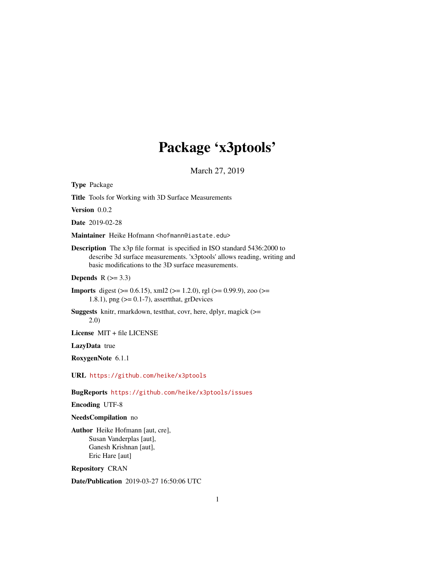# Package 'x3ptools'

March 27, 2019

Type Package Title Tools for Working with 3D Surface Measurements Version 0.0.2 Date 2019-02-28 Maintainer Heike Hofmann <hofmann@iastate.edu> Description The x3p file format is specified in ISO standard 5436:2000 to describe 3d surface measurements. 'x3ptools' allows reading, writing and basic modifications to the 3D surface measurements. Depends  $R$  ( $>= 3.3$ ) **Imports** digest ( $>= 0.6.15$ ), xml2 ( $>= 1.2.0$ ), rgl ( $>= 0.99.9$ ), zoo ( $>=$ 1.8.1), png  $(>= 0.1 - 7)$ , assert that, grDevices Suggests knitr, rmarkdown, testthat, covr, here, dplyr, magick (>= 2.0) License MIT + file LICENSE LazyData true RoxygenNote 6.1.1 URL <https://github.com/heike/x3ptools> BugReports <https://github.com/heike/x3ptools/issues> Encoding UTF-8 NeedsCompilation no Author Heike Hofmann [aut, cre], Susan Vanderplas [aut], Ganesh Krishnan [aut], Eric Hare [aut]

Repository CRAN

Date/Publication 2019-03-27 16:50:06 UTC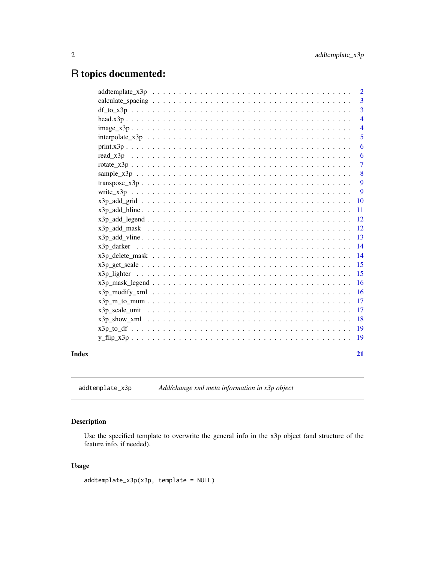## <span id="page-1-0"></span>R topics documented:

|       | $addtemplate_x3p \dots \dots \dots \dots \dots \dots \dots \dots \dots \dots \dots \dots \dots \dots \dots$ | $\overline{2}$  |
|-------|-------------------------------------------------------------------------------------------------------------|-----------------|
|       |                                                                                                             | $\overline{3}$  |
|       |                                                                                                             | $\overline{3}$  |
|       |                                                                                                             | $\overline{4}$  |
|       |                                                                                                             | $\overline{4}$  |
|       |                                                                                                             | $\overline{5}$  |
|       |                                                                                                             | 6               |
|       |                                                                                                             | 6               |
|       | $rotate\_x3p$                                                                                               | $\overline{7}$  |
|       |                                                                                                             | 8               |
|       |                                                                                                             | 9               |
|       |                                                                                                             | 9               |
|       |                                                                                                             |                 |
|       |                                                                                                             | $\overline{11}$ |
|       |                                                                                                             |                 |
|       |                                                                                                             |                 |
|       |                                                                                                             |                 |
|       |                                                                                                             |                 |
|       |                                                                                                             |                 |
|       |                                                                                                             |                 |
|       |                                                                                                             |                 |
|       |                                                                                                             |                 |
|       |                                                                                                             |                 |
|       |                                                                                                             |                 |
|       |                                                                                                             |                 |
|       |                                                                                                             |                 |
|       |                                                                                                             |                 |
|       |                                                                                                             |                 |
| Index |                                                                                                             | 21              |
|       |                                                                                                             |                 |

addtemplate\_x3p *Add/change xml meta information in x3p object*

#### Description

Use the specified template to overwrite the general info in the x3p object (and structure of the feature info, if needed).

#### Usage

```
addtemplate_x3p(x3p, template = NULL)
```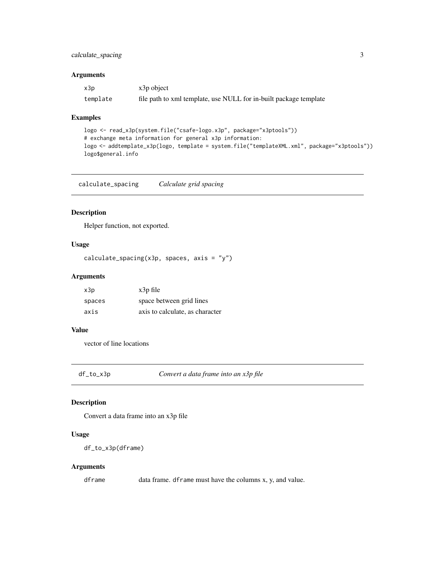#### <span id="page-2-0"></span>calculate\_spacing 3

#### Arguments

| x3p      | x3p object                                                        |
|----------|-------------------------------------------------------------------|
| template | file path to xml template, use NULL for in-built package template |

#### Examples

```
logo <- read_x3p(system.file("csafe-logo.x3p", package="x3ptools"))
# exchange meta information for general x3p information:
logo <- addtemplate_x3p(logo, template = system.file("templateXML.xml", package="x3ptools"))
logo$general.info
```
calculate\_spacing *Calculate grid spacing*

#### Description

Helper function, not exported.

#### Usage

```
calculate_spacing(x3p, spaces, axis = "y")
```
#### Arguments

| x3p    | $x3p$ file                      |
|--------|---------------------------------|
| spaces | space between grid lines        |
| axis   | axis to calculate, as character |

#### Value

vector of line locations

df\_to\_x3p *Convert a data frame into an x3p file*

#### Description

Convert a data frame into an x3p file

#### Usage

df\_to\_x3p(dframe)

#### Arguments

dframe data frame. dframe must have the columns x, y, and value.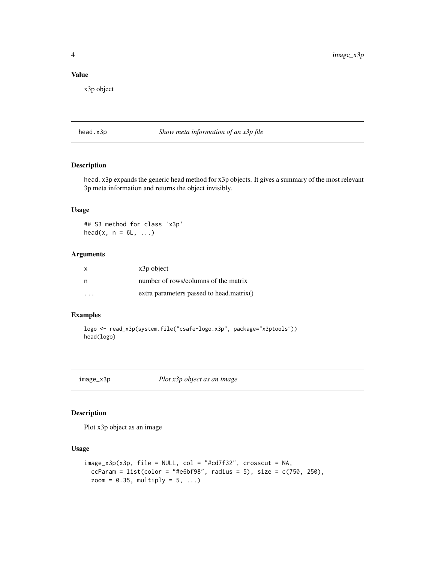#### <span id="page-3-0"></span>Value

x3p object

head.x3p *Show meta information of an x3p file*

#### Description

head.x3p expands the generic head method for x3p objects. It gives a summary of the most relevant 3p meta information and returns the object invisibly.

#### Usage

## S3 method for class 'x3p' head(x,  $n = 6L, ...$ )

#### Arguments

| $\mathsf{X}$ | x3p object                               |
|--------------|------------------------------------------|
| - n          | number of rows/columns of the matrix     |
| .            | extra parameters passed to head.matrix() |

#### Examples

```
logo <- read_x3p(system.file("csafe-logo.x3p", package="x3ptools"))
head(logo)
```
image\_x3p *Plot x3p object as an image*

#### Description

Plot x3p object as an image

#### Usage

```
image_x3p(x3p, file = NULL, col = "#cd7f32", crosscut = NA,ccParam = list(color = "#e6bf98", radius = 5), size = c(750, 250),zoom = 0.35, multiply = 5, ...)
```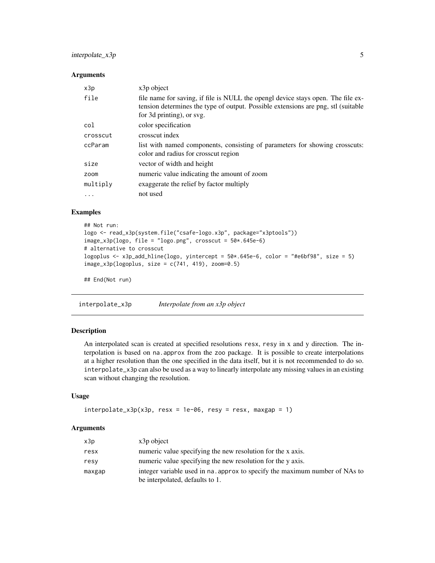#### <span id="page-4-0"></span>interpolate\_x3p 5

#### Arguments

| x3p      | x3p object                                                                                                                                                                                         |
|----------|----------------------------------------------------------------------------------------------------------------------------------------------------------------------------------------------------|
| file     | file name for saving, if file is NULL the opengl device stays open. The file ex-<br>tension determines the type of output. Possible extensions are png, stl (suitable<br>for 3d printing), or svg. |
| col      | color specification                                                                                                                                                                                |
| crosscut | crosscut index                                                                                                                                                                                     |
| ccParam  | list with named components, consisting of parameters for showing crosscuts:<br>color and radius for crosscut region                                                                                |
| size     | vector of width and height                                                                                                                                                                         |
| zoom     | numeric value indicating the amount of zoom                                                                                                                                                        |
| multiply | exaggerate the relief by factor multiply                                                                                                                                                           |
| $\ddots$ | not used                                                                                                                                                                                           |

#### Examples

```
## Not run:
logo <- read_x3p(system.file("csafe-logo.x3p", package="x3ptools"))
image_x3p(logo, file = "logo.png", crosscut = 50*.645e-6)# alternative to crosscut
logoplus <- x3p_add_hline(logo, yintercept = 50*.645e-6, color = "#e6bf98", size = 5)
image_x3p(logoplus, size = c(741, 419), zoom=0.5)
```
## End(Not run)

interpolate\_x3p *Interpolate from an x3p object*

#### Description

An interpolated scan is created at specified resolutions resx, resy in x and y direction. The interpolation is based on na.approx from the zoo package. It is possible to create interpolations at a higher resolution than the one specified in the data itself, but it is not recommended to do so. interpolate\_x3p can also be used as a way to linearly interpolate any missing values in an existing scan without changing the resolution.

#### Usage

```
interpolate_x3p(x3p, resx = 1e-06, resy = resx, maxgap = 1)
```
#### Arguments

| x3p    | $x3p$ object                                                                                                   |
|--------|----------------------------------------------------------------------------------------------------------------|
| resx   | numeric value specifying the new resolution for the x axis.                                                    |
| resy   | numeric value specifying the new resolution for the y axis.                                                    |
| maxgap | integer variable used in na. approx to specify the maximum number of NAs to<br>be interpolated, defaults to 1. |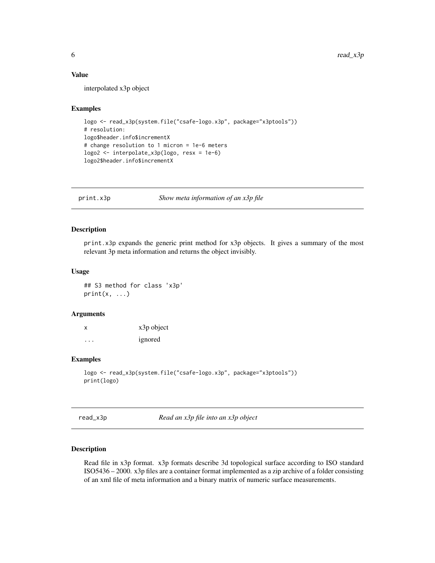#### <span id="page-5-0"></span>Value

interpolated x3p object

#### Examples

```
logo <- read_x3p(system.file("csafe-logo.x3p", package="x3ptools"))
# resolution:
logo$header.info$incrementX
# change resolution to 1 micron = 1e-6 meters
logo2 <- interpolate_x3p(logo, resx = 1e-6)
logo2$header.info$incrementX
```
print.x3p *Show meta information of an x3p file*

#### Description

print.x3p expands the generic print method for x3p objects. It gives a summary of the most relevant 3p meta information and returns the object invisibly.

#### Usage

## S3 method for class 'x3p'  $print(x, \ldots)$ 

#### Arguments

x x3p object ... ignored

#### Examples

```
logo <- read_x3p(system.file("csafe-logo.x3p", package="x3ptools"))
print(logo)
```
read\_x3p *Read an x3p file into an x3p object*

#### Description

Read file in x3p format. x3p formats describe 3d topological surface according to ISO standard ISO5436 – 2000. x3p files are a container format implemented as a zip archive of a folder consisting of an xml file of meta information and a binary matrix of numeric surface measurements.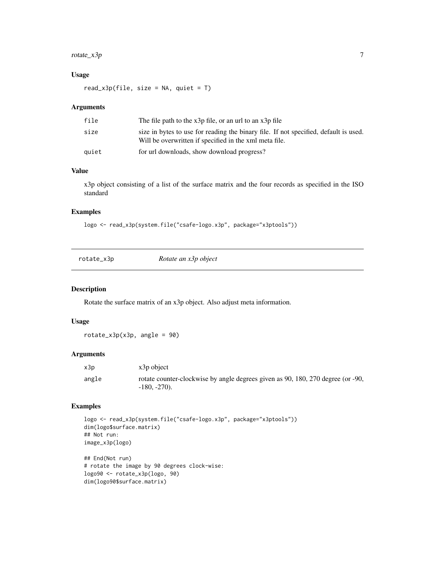#### <span id="page-6-0"></span> $rotate\_x3p$  7

#### Usage

 $read_x3p(file, size = NA, quiet = T)$ 

#### Arguments

| file  | The file path to the $x3p$ file, or an url to an $x3p$ file                                                                                    |
|-------|------------------------------------------------------------------------------------------------------------------------------------------------|
| size  | size in bytes to use for reading the binary file. If not specified, default is used.<br>Will be overwritten if specified in the xml meta file. |
| auiet | for url downloads, show download progress?                                                                                                     |

#### Value

x3p object consisting of a list of the surface matrix and the four records as specified in the ISO standard

#### Examples

logo <- read\_x3p(system.file("csafe-logo.x3p", package="x3ptools"))

| rotate_x3p | Rotate an x3p object |  |
|------------|----------------------|--|
|            |                      |  |

#### Description

Rotate the surface matrix of an x3p object. Also adjust meta information.

#### Usage

 $rotate_x3p(x3p, angle = 90)$ 

#### Arguments

| x3p   | x3p object                                                                                        |
|-------|---------------------------------------------------------------------------------------------------|
| angle | rotate counter-clockwise by angle degrees given as 90, 180, 270 degree (or -90,<br>$-180, -270$ . |

#### Examples

```
logo <- read_x3p(system.file("csafe-logo.x3p", package="x3ptools"))
dim(logo$surface.matrix)
## Not run:
image_x3p(logo)
## End(Not run)
# rotate the image by 90 degrees clock-wise:
logo90 <- rotate_x3p(logo, 90)
dim(logo90$surface.matrix)
```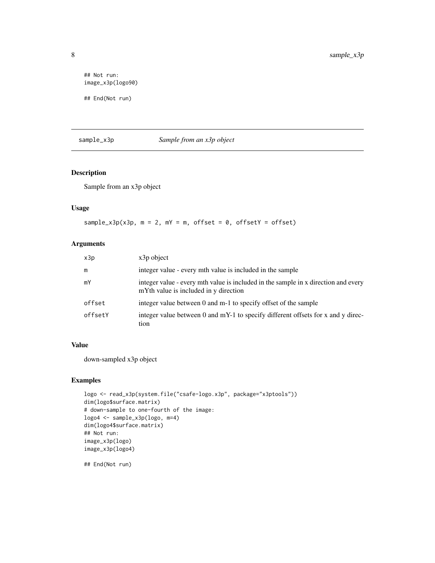```
## Not run:
image_x3p(logo90)
## End(Not run)
```
#### sample\_x3p *Sample from an x3p object*

#### Description

Sample from an x3p object

#### Usage

```
sample_x3p(x3p, m = 2, mY = m, offset = 0, offsetY = offset)
```
#### Arguments

| x3p     | $x3p$ object                                                                                                                |
|---------|-----------------------------------------------------------------------------------------------------------------------------|
| m       | integer value - every mth value is included in the sample                                                                   |
| mY      | integer value - every mth value is included in the sample in x direction and every<br>mYth value is included in y direction |
| offset  | integer value between 0 and m-1 to specify offset of the sample                                                             |
| offsetY | integer value between 0 and mY-1 to specify different offsets for x and y direc-<br>tion                                    |

#### Value

down-sampled x3p object

#### Examples

```
logo <- read_x3p(system.file("csafe-logo.x3p", package="x3ptools"))
dim(logo$surface.matrix)
# down-sample to one-fourth of the image:
logo4 <- sample_x3p(logo, m=4)
dim(logo4$surface.matrix)
## Not run:
image_x3p(logo)
image_x3p(logo4)
```
## End(Not run)

<span id="page-7-0"></span>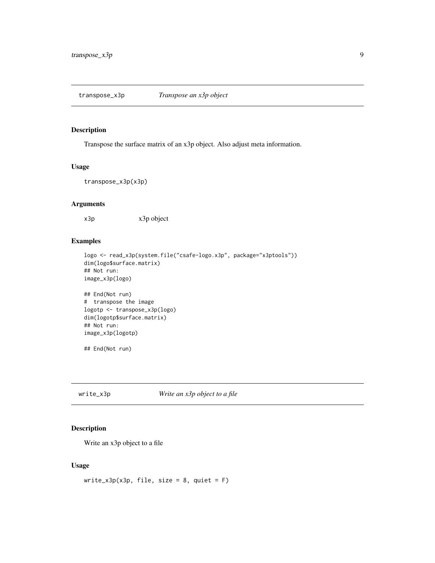#### <span id="page-8-0"></span>Description

Transpose the surface matrix of an x3p object. Also adjust meta information.

#### Usage

transpose\_x3p(x3p)

#### Arguments

x3p x3p object

#### Examples

```
logo <- read_x3p(system.file("csafe-logo.x3p", package="x3ptools"))
dim(logo$surface.matrix)
## Not run:
image_x3p(logo)
```

```
## End(Not run)
# transpose the image
logotp <- transpose_x3p(logo)
dim(logotp$surface.matrix)
## Not run:
image_x3p(logotp)
```
## End(Not run)

write\_x3p *Write an x3p object to a file*

#### Description

Write an x3p object to a file

#### Usage

```
write_x3p(x3p, file, size = 8, quiet = F)
```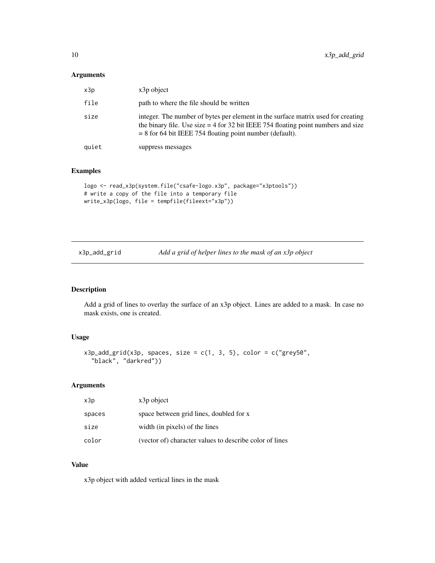#### <span id="page-9-0"></span>Arguments

| x3p   | x3p object                                                                                                                                                                                                                            |
|-------|---------------------------------------------------------------------------------------------------------------------------------------------------------------------------------------------------------------------------------------|
| file  | path to where the file should be written                                                                                                                                                                                              |
| size  | integer. The number of bytes per element in the surface matrix used for creating<br>the binary file. Use size $=$ 4 for 32 bit IEEE 754 floating point numbers and size<br>$= 8$ for 64 bit IEEE 754 floating point number (default). |
| quiet | suppress messages                                                                                                                                                                                                                     |

#### Examples

```
logo <- read_x3p(system.file("csafe-logo.x3p", package="x3ptools"))
# write a copy of the file into a temporary file
write_x3p(logo, file = tempfile(fileext="x3p"))
```

| x3p_add_grid | Add a grid of helper lines to the mask of an x3p object |  |
|--------------|---------------------------------------------------------|--|
|              |                                                         |  |

#### Description

Add a grid of lines to overlay the surface of an x3p object. Lines are added to a mask. In case no mask exists, one is created.

#### Usage

```
x3p\_add\_grid(x3p, spaces, size = c(1, 3, 5), color = c("grey50","black", "darkred"))
```
#### Arguments

| x3p    | x3p object                                              |
|--------|---------------------------------------------------------|
| spaces | space between grid lines, doubled for x                 |
| size   | width (in pixels) of the lines                          |
| color  | (vector of) character values to describe color of lines |

#### Value

x3p object with added vertical lines in the mask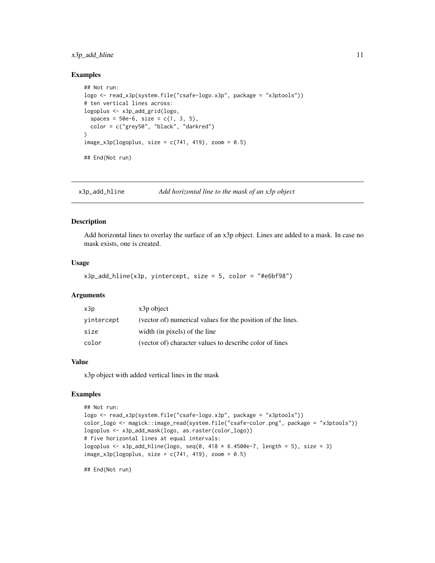#### <span id="page-10-0"></span>x3p\_add\_hline 11

#### Examples

```
## Not run:
logo <- read_x3p(system.file("csafe-logo.x3p", package = "x3ptools"))
# ten vertical lines across:
logoplus <- x3p_add_grid(logo,
  spaces = 50e-6, size = c(1, 3, 5),color = c("grey50", "black", "darkred")
\lambdaimage_x3p(logoplus, size = c(741, 419), zoom = 0.5)## End(Not run)
```
x3p\_add\_hline *Add horizontal line to the mask of an x3p object*

#### Description

Add horizontal lines to overlay the surface of an x3p object. Lines are added to a mask. In case no mask exists, one is created.

#### Usage

```
x3p\_add\_hline(x3p, yintercept, size = 5, color = "#e6bf98")
```
#### Arguments

| x3p        | x3p object                                                  |
|------------|-------------------------------------------------------------|
| vintercept | (vector of) numerical values for the position of the lines. |
| size       | width (in pixels) of the line                               |
| color      | (vector of) character values to describe color of lines     |

#### Value

x3p object with added vertical lines in the mask

#### Examples

```
## Not run:
logo <- read_x3p(system.file("csafe-logo.x3p", package = "x3ptools"))
color_logo <- magick::image_read(system.file("csafe-color.png", package = "x3ptools"))
logoplus <- x3p_add_mask(logo, as.raster(color_logo))
# five horizontal lines at equal intervals:
logoplus \le x3p_add_hline(logo, seq(0, 418 * 6.4500e-7, length = 5), size = 3)
image_x3p(logoplus, size = c(741, 419), zoom = 0.5)
```
## End(Not run)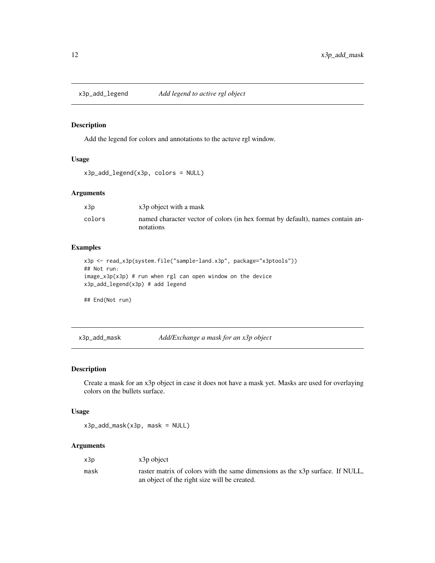<span id="page-11-0"></span>

#### Description

Add the legend for colors and annotations to the actuve rgl window.

#### Usage

```
x3p_add_legend(x3p, colors = NULL)
```
#### Arguments

| x3p    | x3p object with a mask                                                                      |
|--------|---------------------------------------------------------------------------------------------|
| colors | named character vector of colors (in hex format by default), names contain an-<br>notations |

#### Examples

```
x3p <- read_x3p(system.file("sample-land.x3p", package="x3ptools"))
## Not run:
image_x3p(x3p) # run when rgl can open window on the device
x3p_add_legend(x3p) # add legend
```
## End(Not run)

x3p\_add\_mask *Add/Exchange a mask for an x3p object*

#### Description

Create a mask for an x3p object in case it does not have a mask yet. Masks are used for overlaying colors on the bullets surface.

#### Usage

x3p\_add\_mask(x3p, mask = NULL)

#### Arguments

| x3p  | x3p object                                                                                                                    |
|------|-------------------------------------------------------------------------------------------------------------------------------|
| mask | raster matrix of colors with the same dimensions as the x3p surface. If NULL,<br>an object of the right size will be created. |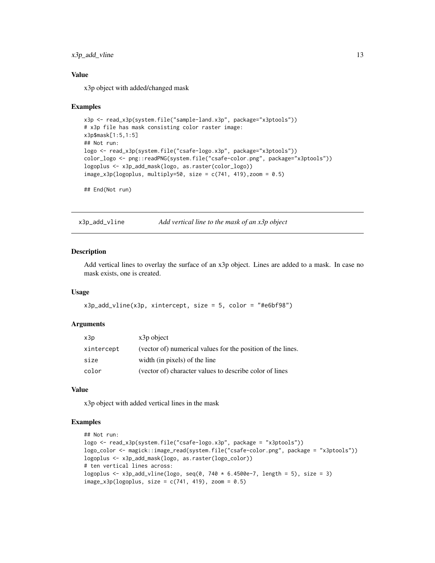#### <span id="page-12-0"></span>x3p\_add\_vline 13

#### Value

x3p object with added/changed mask

#### Examples

```
x3p <- read_x3p(system.file("sample-land.x3p", package="x3ptools"))
# x3p file has mask consisting color raster image:
x3p$mask[1:5,1:5]
## Not run:
logo <- read_x3p(system.file("csafe-logo.x3p", package="x3ptools"))
color_logo <- png::readPNG(system.file("csafe-color.png", package="x3ptools"))
logoplus <- x3p_add_mask(logo, as.raster(color_logo))
image_x3p(logoplus, multiply=50, size = c(741, 419), zoom = 0.5)
```
## End(Not run)

x3p\_add\_vline *Add vertical line to the mask of an x3p object*

#### **Description**

Add vertical lines to overlay the surface of an x3p object. Lines are added to a mask. In case no mask exists, one is created.

#### Usage

```
x3p\_add\_vline(x3p, xintercept, size = 5, color = "#e6bf98")
```
#### Arguments

| x3p        | $x3p$ object                                                |
|------------|-------------------------------------------------------------|
| xintercept | (vector of) numerical values for the position of the lines. |
| size       | width (in pixels) of the line                               |
| color      | (vector of) character values to describe color of lines     |

#### Value

x3p object with added vertical lines in the mask

#### Examples

```
## Not run:
logo <- read_x3p(system.file("csafe-logo.x3p", package = "x3ptools"))
logo_color <- magick::image_read(system.file("csafe-color.png", package = "x3ptools"))
logoplus <- x3p_add_mask(logo, as.raster(logo_color))
# ten vertical lines across:
logoplus \le x3p_add_vline(logo, seq(0, 740 * 6.4500e-7, length = 5), size = 3)
image_x3p(logoplus, size = c(741, 419), zoom = 0.5)
```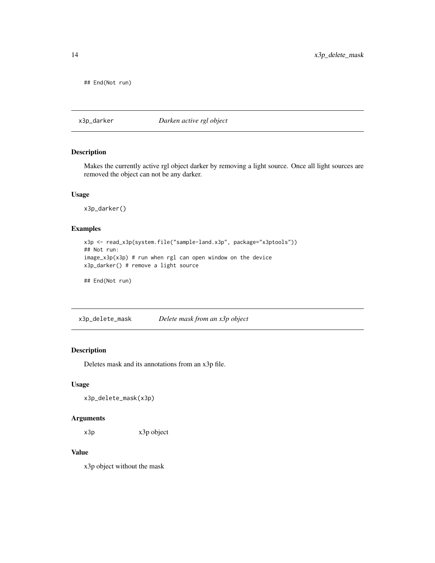<span id="page-13-0"></span>## End(Not run)

x3p\_darker *Darken active rgl object*

#### Description

Makes the currently active rgl object darker by removing a light source. Once all light sources are removed the object can not be any darker.

#### Usage

x3p\_darker()

#### Examples

```
x3p <- read_x3p(system.file("sample-land.x3p", package="x3ptools"))
## Not run:
image_x3p(x3p) # run when rgl can open window on the device
x3p_darker() # remove a light source
```
## End(Not run)

x3p\_delete\_mask *Delete mask from an x3p object*

#### Description

Deletes mask and its annotations from an x3p file.

#### Usage

x3p\_delete\_mask(x3p)

#### Arguments

x3p x3p object

#### Value

x3p object without the mask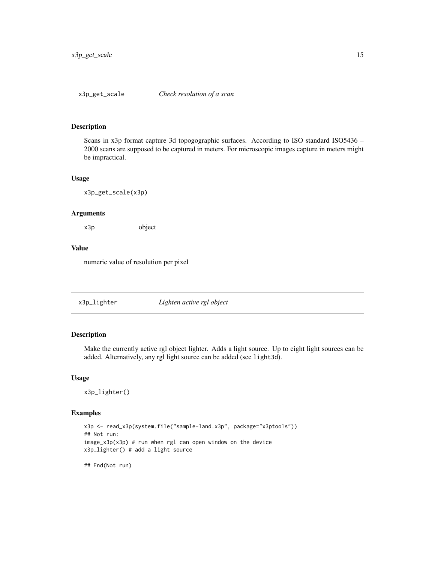<span id="page-14-0"></span>

#### Description

Scans in x3p format capture 3d topogographic surfaces. According to ISO standard ISO5436 -2000 scans are supposed to be captured in meters. For microscopic images capture in meters might be impractical.

#### Usage

x3p\_get\_scale(x3p)

#### Arguments

x3p object

#### Value

numeric value of resolution per pixel

x3p\_lighter *Lighten active rgl object*

#### Description

Make the currently active rgl object lighter. Adds a light source. Up to eight light sources can be added. Alternatively, any rgl light source can be added (see light3d).

#### Usage

x3p\_lighter()

#### Examples

```
x3p <- read_x3p(system.file("sample-land.x3p", package="x3ptools"))
## Not run:
image_x3p(x3p) # run when rgl can open window on the device
x3p_lighter() # add a light source
```
## End(Not run)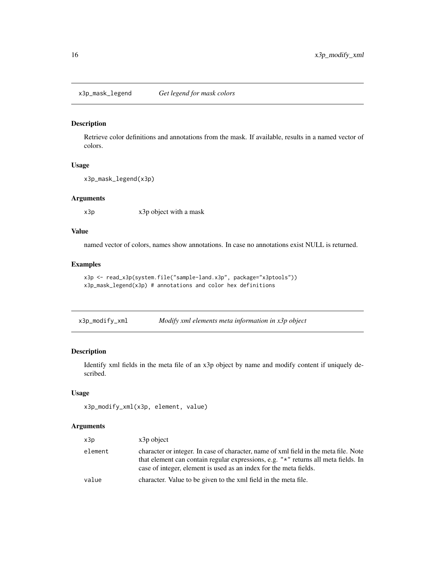<span id="page-15-0"></span>x3p\_mask\_legend *Get legend for mask colors*

#### Description

Retrieve color definitions and annotations from the mask. If available, results in a named vector of colors.

#### Usage

```
x3p_mask_legend(x3p)
```
#### Arguments

x3p x3p object with a mask

#### Value

named vector of colors, names show annotations. In case no annotations exist NULL is returned.

#### Examples

```
x3p <- read_x3p(system.file("sample-land.x3p", package="x3ptools"))
x3p_mask_legend(x3p) # annotations and color hex definitions
```

| x3p_modify_xml | Modify xml elements meta information in x3p object |  |
|----------------|----------------------------------------------------|--|
|                |                                                    |  |

#### Description

Identify xml fields in the meta file of an x3p object by name and modify content if uniquely described.

#### Usage

```
x3p_modify_xml(x3p, element, value)
```
#### Arguments

| x3p     | $x3p$ object                                                                                                                                                                                                                                    |
|---------|-------------------------------------------------------------------------------------------------------------------------------------------------------------------------------------------------------------------------------------------------|
| element | character or integer. In case of character, name of xml field in the meta file. Note<br>that element can contain regular expressions, e.g. "*" returns all meta fields. In<br>case of integer, element is used as an index for the meta fields. |
| value   | character. Value to be given to the xml field in the meta file.                                                                                                                                                                                 |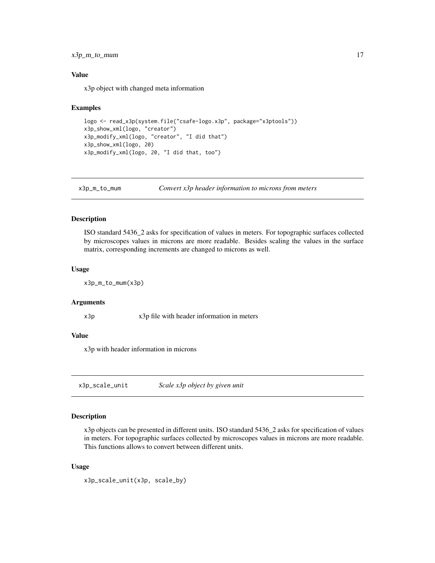#### <span id="page-16-0"></span>x3p\_m\_to\_mum 17

#### Value

x3p object with changed meta information

#### Examples

```
logo <- read_x3p(system.file("csafe-logo.x3p", package="x3ptools"))
x3p_show_xml(logo, "creator")
x3p_modify_xml(logo, "creator", "I did that")
x3p_show_xml(logo, 20)
x3p_modify_xml(logo, 20, "I did that, too")
```
x3p\_m\_to\_mum *Convert x3p header information to microns from meters*

#### Description

ISO standard 5436\_2 asks for specification of values in meters. For topographic surfaces collected by microscopes values in microns are more readable. Besides scaling the values in the surface matrix, corresponding increments are changed to microns as well.

#### Usage

x3p\_m\_to\_mum(x3p)

#### Arguments

x3p x3p file with header information in meters

#### Value

x3p with header information in microns

x3p\_scale\_unit *Scale x3p object by given unit*

#### Description

x3p objects can be presented in different units. ISO standard 5436\_2 asks for specification of values in meters. For topographic surfaces collected by microscopes values in microns are more readable. This functions allows to convert between different units.

#### Usage

```
x3p_scale_unit(x3p, scale_by)
```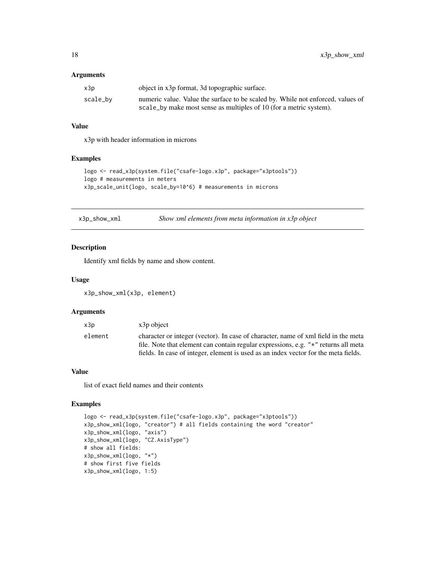#### <span id="page-17-0"></span>Arguments

| x3p      | object in x3p format, 3d topographic surface.                                   |
|----------|---------------------------------------------------------------------------------|
| scale_bv | numeric value. Value the surface to be scaled by. While not enforced, values of |
|          | scale_by make most sense as multiples of 10 (for a metric system).              |

#### Value

x3p with header information in microns

#### Examples

```
logo <- read_x3p(system.file("csafe-logo.x3p", package="x3ptools"))
logo # measurements in meters
x3p_scale_unit(logo, scale_by=10^6) # measurements in microns
```
x3p\_show\_xml *Show xml elements from meta information in x3p object*

#### Description

Identify xml fields by name and show content.

#### Usage

x3p\_show\_xml(x3p, element)

#### Arguments

| x3p     | $x3p$ object                                                                                                                                                             |
|---------|--------------------------------------------------------------------------------------------------------------------------------------------------------------------------|
| element | character or integer (vector). In case of character, name of xml field in the meta<br>file. Note that element can contain regular expressions, e.g. "*" returns all meta |
|         | fields. In case of integer, element is used as an index vector for the meta fields.                                                                                      |

#### Value

list of exact field names and their contents

#### Examples

```
logo <- read_x3p(system.file("csafe-logo.x3p", package="x3ptools"))
x3p_show_xml(logo, "creator") # all fields containing the word "creator"
x3p_show_xml(logo, "axis")
x3p_show_xml(logo, "CZ.AxisType")
# show all fields:
x3p_show_xml(logo, "*")
# show first five fields
x3p_show_xml(logo, 1:5)
```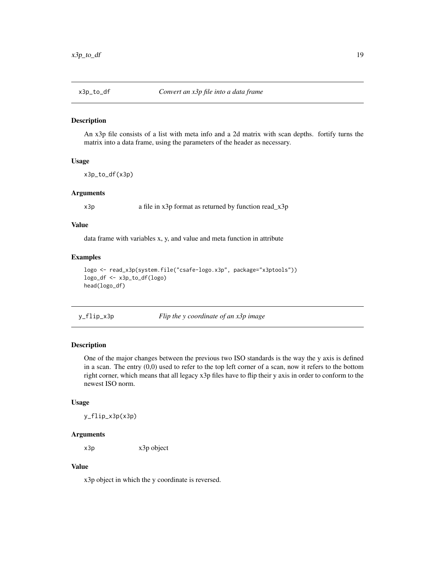<span id="page-18-0"></span>

#### Description

An x3p file consists of a list with meta info and a 2d matrix with scan depths. fortify turns the matrix into a data frame, using the parameters of the header as necessary.

#### Usage

x3p\_to\_df(x3p)

#### Arguments

x3p a file in x3p format as returned by function read\_x3p

#### Value

data frame with variables x, y, and value and meta function in attribute

#### Examples

```
logo <- read_x3p(system.file("csafe-logo.x3p", package="x3ptools"))
logo_df <- x3p_to_df(logo)
head(logo_df)
```
y\_flip\_x3p *Flip the y coordinate of an x3p image*

#### Description

One of the major changes between the previous two ISO standards is the way the y axis is defined in a scan. The entry (0,0) used to refer to the top left corner of a scan, now it refers to the bottom right corner, which means that all legacy x3p files have to flip their y axis in order to conform to the newest ISO norm.

#### Usage

y\_flip\_x3p(x3p)

#### Arguments

x3p x3p object

#### Value

x3p object in which the y coordinate is reversed.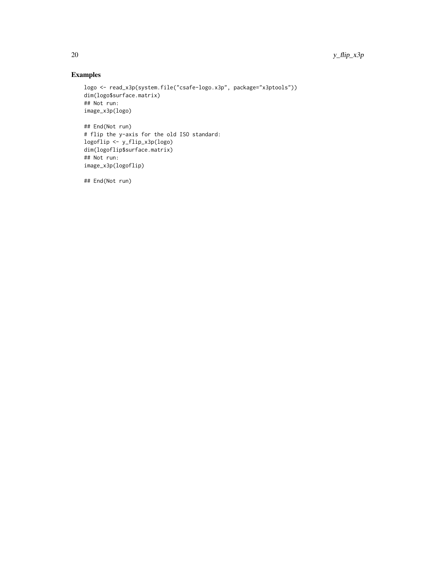### Examples

```
logo <- read_x3p(system.file("csafe-logo.x3p", package="x3ptools"))
dim(logo$surface.matrix)
## Not run:
image_x3p(logo)
```

```
## End(Not run)
# flip the y-axis for the old ISO standard:
logoflip <- y_flip_x3p(logo)
dim(logoflip$surface.matrix)
## Not run:
image_x3p(logoflip)
```
## End(Not run)